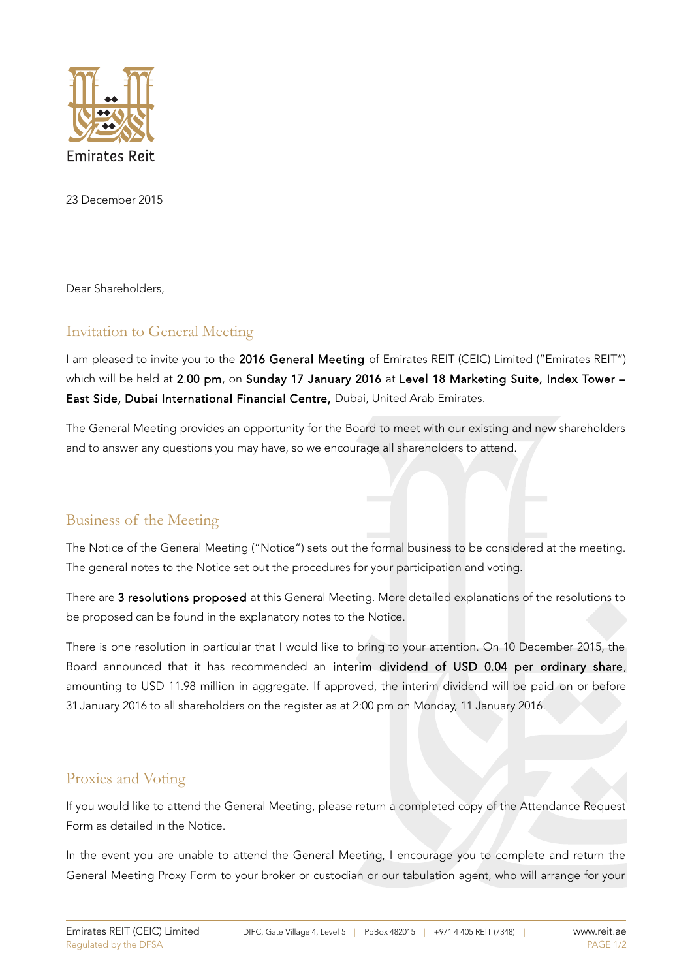

23 December 2015

Dear Shareholders,

## Invitation to General Meeting

I am pleased to invite you to the 2016 General Meeting of Emirates REIT (CEIC) Limited ("Emirates REIT") which will be held at 2.00 pm, on Sunday 17 January 2016 at Level 18 Marketing Suite, Index Tower -East Side, Dubai International Financial Centre, Dubai, United Arab Emirates.

The General Meeting provides an opportunity for the Board to meet with our existing and new shareholders and to answer any questions you may have, so we encourage all shareholders to attend.

## Business of the Meeting

The Notice of the General Meeting ("Notice") sets out the formal business to be considered at the meeting. The general notes to the Notice set out the procedures for your participation and voting.

There are 3 resolutions proposed at this General Meeting. More detailed explanations of the resolutions to be proposed can be found in the explanatory notes to the Notice.

There is one resolution in particular that I would like to bring to your attention. On 10 December 2015, the Board announced that it has recommended an interim dividend of USD 0.04 per ordinary share, amounting to USD 11.98 million in aggregate. If approved, the interim dividend will be paid on or before 31 January 2016 to all shareholders on the register as at 2:00 pm on Monday, 11 January 2016.

## Proxies and Voting

If you would like to attend the General Meeting, please return a completed copy of the Attendance Request Form as detailed in the Notice.

In the event you are unable to attend the General Meeting, I encourage you to complete and return the General Meeting Proxy Form to your broker or custodian or our tabulation agent, who will arrange for your